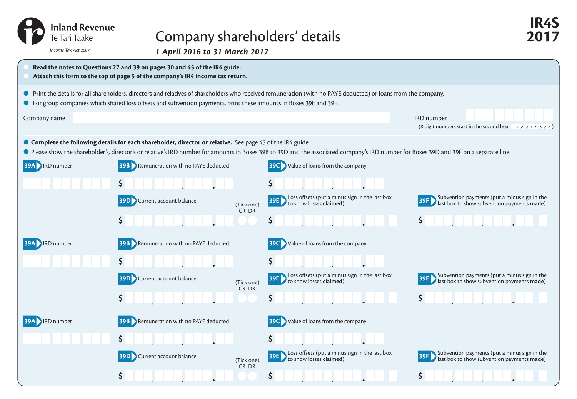| Inland Revenue<br>Te Tari Taake | Company shareholders' details                                                                                                                                                                                                                                                                        |                                                                                          | 2017                                                                                                            |
|---------------------------------|------------------------------------------------------------------------------------------------------------------------------------------------------------------------------------------------------------------------------------------------------------------------------------------------------|------------------------------------------------------------------------------------------|-----------------------------------------------------------------------------------------------------------------|
| Income Tax Act 2007             |                                                                                                                                                                                                                                                                                                      | 1 April 2016 to 31 March 2017                                                            |                                                                                                                 |
|                                 | Read the notes to Questions 27 and 39 on pages 30 and 45 of the IR4 guide.<br>Attach this form to the top of page 5 of the company's IR4 income tax return.                                                                                                                                          |                                                                                          |                                                                                                                 |
|                                 | • Print the details for all shareholders, directors and relatives of shareholders who received remuneration (with no PAYE deducted) or loans from the company.                                                                                                                                       |                                                                                          |                                                                                                                 |
|                                 | ● For group companies which shared loss offsets and subvention payments, print these amounts in Boxes 39E and 39F.                                                                                                                                                                                   |                                                                                          |                                                                                                                 |
| Company name                    |                                                                                                                                                                                                                                                                                                      |                                                                                          | <b>IRD</b> number<br>(8 digit numbers start in the second box $\begin{array}{c} 1234567 \\ 2345678 \end{array}$ |
|                                 | ● Complete the following details for each shareholder, director or relative. See page 45 of the IR4 guide.<br>● Please show the shareholder's, director's or relative's IRD number for amounts in Boxes 39B to 39D and the associated company's IRD number for Boxes 39D and 39F on a separate line. |                                                                                          |                                                                                                                 |
| <b>39A IRD</b> number           | <b>39B</b> Remuneration with no PAYE deducted                                                                                                                                                                                                                                                        | <b>39C</b> Value of loans from the company                                               |                                                                                                                 |
|                                 | \$                                                                                                                                                                                                                                                                                                   | \$                                                                                       |                                                                                                                 |
|                                 | <b>39D</b> Current account balance<br>(Tick one)                                                                                                                                                                                                                                                     | Loss offsets (put a minus sign in the last box<br>to show losses <b>claimed</b> )<br>39E | Subvention payments (put a minus sign in the<br>last box to show subvention payments made)                      |
|                                 | CR DR<br>\$                                                                                                                                                                                                                                                                                          | \$                                                                                       | $\mathsf{S}$                                                                                                    |
| <b>39A RD</b> number            | <b>39B</b> Remuneration with no PAYE deducted                                                                                                                                                                                                                                                        | Value of loans from the company                                                          |                                                                                                                 |
|                                 |                                                                                                                                                                                                                                                                                                      |                                                                                          |                                                                                                                 |
|                                 | <b>39D</b> Current account balance<br>(Tick one)                                                                                                                                                                                                                                                     | Loss offsets (put a minus sign in the last box<br>to show losses <b>claimed</b> )        | Subvention payments (put a minus sign in the<br>last box to show subvention payments made)                      |
|                                 | CR DR<br>\$                                                                                                                                                                                                                                                                                          | \$                                                                                       | \$                                                                                                              |
| <b>39A RD</b> number            | <b>39B</b> Remuneration with no PAYE deducted                                                                                                                                                                                                                                                        | <b>39C</b> Value of loans from the company                                               |                                                                                                                 |

**\$ \$**

CR DR

**\$ \$ \$**

**39D** Current account balance (Tick one)

## to show losses **claimed**) **39F** Subvention payments (put a minus sign in the last box to show subvention payments **made**)

Subvention payments (put a minus sign in the<br>ast box to show subvention payments **made**)

**39E** Loss offsets (put a minus sign in the last box **39F** Subvention payments (put a minus sign in the last box to show subvention payments made)